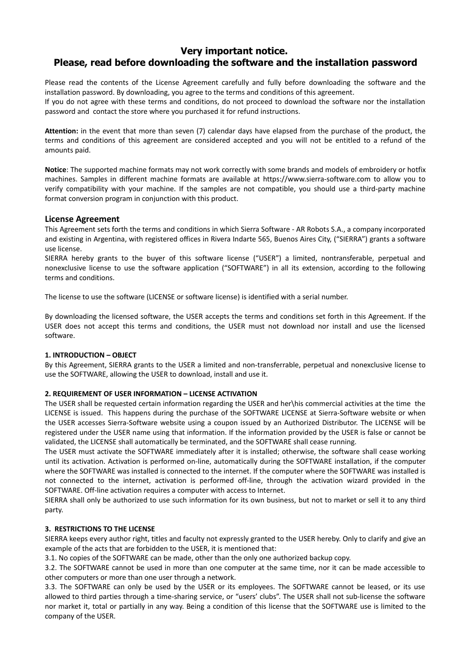# **Very important notice. Please, read before downloading the software and the installation password**

Please read the contents of the License Agreement carefully and fully before downloading the software and the installation password. By downloading, you agree to the terms and conditions of this agreement.

If you do not agree with these terms and conditions, do not proceed to download the software nor the installation password and contact the store where you purchased it for refund instructions.

**Attention:** in the event that more than seven (7) calendar days have elapsed from the purchase of the product, the terms and conditions of this agreement are considered accepted and you will not be entitled to a refund of the amounts paid.

**Notice**: The supported machine formats may not work correctly with some brands and models of embroidery or hotfix machines. Samples in different machine formats are available at https://www.sierra-software.com to allow you to verify compatibility with your machine. If the samples are not compatible, you should use a third-party machine format conversion program in conjunction with this product.

# **License Agreement**

This Agreement sets forth the terms and conditions in which Sierra Software - AR Robots S.A., a company incorporated and existing in Argentina, with registered offices in Rivera Indarte 565, Buenos Aires City, ("SIERRA") grants a software use license.

SIERRA hereby grants to the buyer of this software license ("USER") a limited, nontransferable, perpetual and nonexclusive license to use the software application ("SOFTWARE") in all its extension, according to the following terms and conditions.

The license to use the software (LICENSE or software license) is identified with a serial number.

By downloading the licensed software, the USER accepts the terms and conditions set forth in this Agreement. If the USER does not accept this terms and conditions, the USER must not download nor install and use the licensed software.

# **1. INTRODUCTION – OBJECT**

By this Agreement, SIERRA grants to the USER a limited and non-transferrable, perpetual and nonexclusive license to use the SOFTWARE, allowing the USER to download, install and use it.

# **2. REQUIREMENT OF USER INFORMATION – LICENSE ACTIVATION**

The USER shall be requested certain information regarding the USER and her\his commercial activities at the time the LICENSE is issued. This happens during the purchase of the SOFTWARE LICENSE at Sierra-Software website or when the USER accesses Sierra-Software website using a coupon issued by an Authorized Distributor. The LICENSE will be registered under the USER name using that information. If the information provided by the USER is false or cannot be validated, the LICENSE shall automatically be terminated, and the SOFTWARE shall cease running.

The USER must activate the SOFTWARE immediately after it is installed; otherwise, the software shall cease working until its activation. Activation is performed on-line, automatically during the SOFTWARE installation, if the computer where the SOFTWARE was installed is connected to the internet. If the computer where the SOFTWARE was installed is not connected to the internet, activation is performed off-line, through the activation wizard provided in the SOFTWARE. Off-line activation requires a computer with access to Internet.

SIERRA shall only be authorized to use such information for its own business, but not to market or sell it to any third party.

# **3. RESTRICTIONS TO THE LICENSE**

SIERRA keeps every author right, titles and faculty not expressly granted to the USER hereby. Only to clarify and give an example of the acts that are forbidden to the USER, it is mentioned that:

3.1. No copies of the SOFTWARE can be made, other than the only one authorized backup copy.

3.2. The SOFTWARE cannot be used in more than one computer at the same time, nor it can be made accessible to other computers or more than one user through a network.

3.3. The SOFTWARE can only be used by the USER or its employees. The SOFTWARE cannot be leased, or its use allowed to third parties through a time-sharing service, or "users' clubs". The USER shall not sub-license the software nor market it, total or partially in any way. Being a condition of this license that the SOFTWARE use is limited to the company of the USER.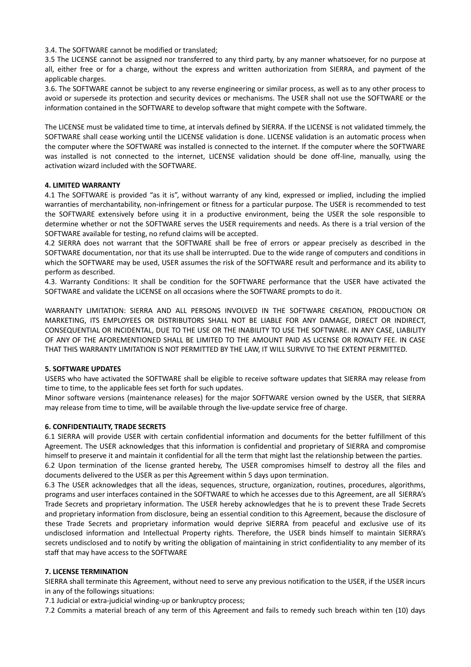3.4. The SOFTWARE cannot be modified or translated;

3.5 The LICENSE cannot be assigned nor transferred to any third party, by any manner whatsoever, for no purpose at all, either free or for a charge, without the express and written authorization from SIERRA, and payment of the applicable charges.

3.6. The SOFTWARE cannot be subject to any reverse engineering or similar process, as well as to any other process to avoid or supersede its protection and security devices or mechanisms. The USER shall not use the SOFTWARE or the information contained in the SOFTWARE to develop software that might compete with the Software.

The LICENSE must be validated time to time, at intervals defined by SIERRA. If the LICENSE is not validated timmely, the SOFTWARE shall cease working until the LICENSE validation is done. LICENSE validation is an automatic process when the computer where the SOFTWARE was installed is connected to the internet. If the computer where the SOFTWARE was installed is not connected to the internet, LICENSE validation should be done off-line, manually, using the activation wizard included with the SOFTWARE.

#### **4. LIMITED WARRANTY**

4.1 The SOFTWARE is provided "as it is", without warranty of any kind, expressed or implied, including the implied warranties of merchantability, non-infringement or fitness for a particular purpose. The USER is recommended to test the SOFTWARE extensively before using it in a productive environment, being the USER the sole responsible to determine whether or not the SOFTWARE serves the USER requirements and needs. As there is a trial version of the SOFTWARE available for testing, no refund claims will be accepted.

4.2 SIERRA does not warrant that the SOFTWARE shall be free of errors or appear precisely as described in the SOFTWARE documentation, nor that its use shall be interrupted. Due to the wide range of computers and conditions in which the SOFTWARE may be used, USER assumes the risk of the SOFTWARE result and performance and its ability to perform as described.

4.3. Warranty Conditions: It shall be condition for the SOFTWARE performance that the USER have activated the SOFTWARE and validate the LICENSE on all occasions where the SOFTWARE prompts to do it.

WARRANTY LIMITATION: SIERRA AND ALL PERSONS INVOLVED IN THE SOFTWARE CREATION, PRODUCTION OR MARKETING, ITS EMPLOYEES OR DISTRIBUTORS SHALL NOT BE LIABLE FOR ANY DAMAGE, DIRECT OR INDIRECT, CONSEQUENTIAL OR INCIDENTAL, DUE TO THE USE OR THE INABILITY TO USE THE SOFTWARE. IN ANY CASE, LIABILITY OF ANY OF THE AFOREMENTIONED SHALL BE LIMITED TO THE AMOUNT PAID AS LICENSE OR ROYALTY FEE. IN CASE THAT THIS WARRANTY LIMITATION IS NOT PERMITTED BY THE LAW, IT WILL SURVIVE TO THE EXTENT PERMITTED.

#### **5. SOFTWARE UPDATES**

USERS who have activated the SOFTWARE shall be eligible to receive software updates that SIERRA may release from time to time, to the applicable fees set forth for such updates.

Minor software versions (maintenance releases) for the major SOFTWARE version owned by the USER, that SIERRA may release from time to time, will be available through the live-update service free of charge.

#### **6. CONFIDENTIALITY, TRADE SECRETS**

6.1 SIERRA will provide USER with certain confidential information and documents for the better fulfillment of this Agreement. The USER acknowledges that this information is confidential and proprietary of SIERRA and compromise himself to preserve it and maintain it confidential for all the term that might last the relationship between the parties.

6.2 Upon termination of the license granted hereby, The USER compromises himself to destroy all the files and documents delivered to the USER as per this Agreement within 5 days upon termination.

6.3 The USER acknowledges that all the ideas, sequences, structure, organization, routines, procedures, algorithms, programs and user interfaces contained in the SOFTWARE to which he accesses due to this Agreement, are all SIERRA's Trade Secrets and proprietary information. The USER hereby acknowledges that he is to prevent these Trade Secrets and proprietary information from disclosure, being an essential condition to this Agreement, because the disclosure of these Trade Secrets and proprietary information would deprive SIERRA from peaceful and exclusive use of its undisclosed information and Intellectual Property rights. Therefore, the USER binds himself to maintain SIERRA's secrets undisclosed and to notify by writing the obligation of maintaining in strict confidentiality to any member of its staff that may have access to the SOFTWARE

#### **7. LICENSE TERMINATION**

SIERRA shall terminate this Agreement, without need to serve any previous notification to the USER, if the USER incurs in any of the followings situations:

7.1 Judicial or extra-judicial winding-up or bankruptcy process;

7.2 Commits a material breach of any term of this Agreement and fails to remedy such breach within ten (10) days